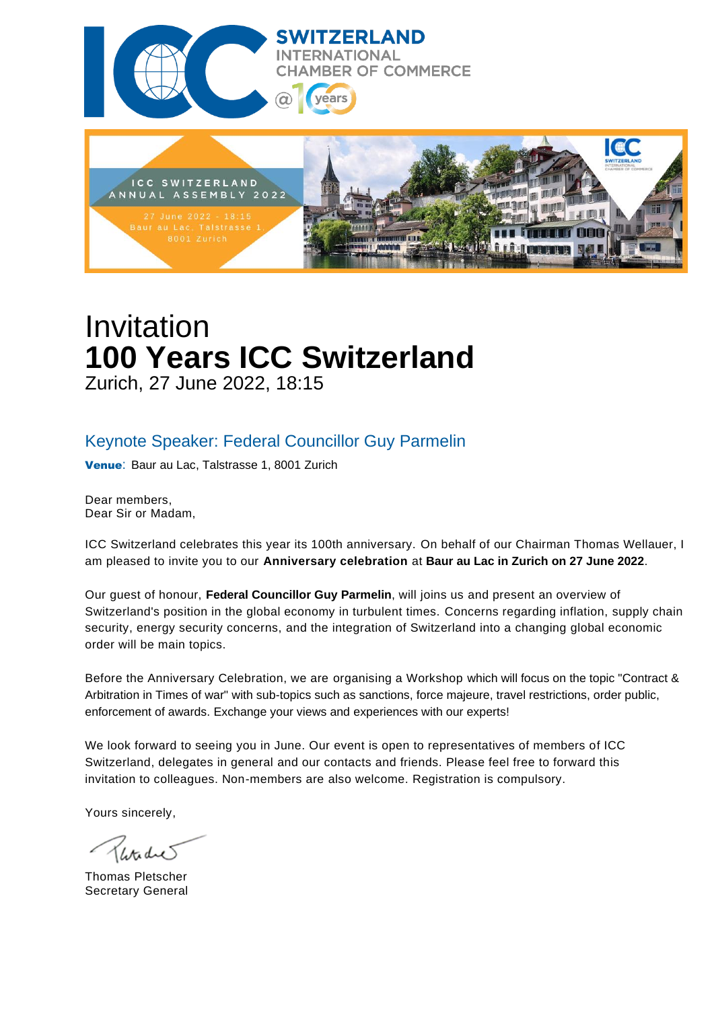



# Invitation **100 Years ICC Switzerland** Zurich, 27 June 2022, 18:15

### Keynote Speaker: Federal Councillor Guy Parmelin

Venue: Baur au Lac, Talstrasse 1, 8001 Zurich

Dear members, Dear Sir or Madam,

ICC Switzerland celebrates this year its 100th anniversary. On behalf of our Chairman Thomas Wellauer, I am pleased to invite you to our **Anniversary celebration** at **Baur au Lac in Zurich on 27 June 2022**.

Our guest of honour, **Federal Councillor Guy Parmelin**, will joins us and present an overview of Switzerland's position in the global economy in turbulent times. Concerns regarding inflation, supply chain security, energy security concerns, and the integration of Switzerland into a changing global economic order will be main topics.

Before the Anniversary Celebration, we are organising a Workshop which will focus on the topic "Contract & Arbitration in Times of war" with sub-topics such as sanctions, force majeure, travel restrictions, order public, enforcement of awards. Exchange your views and experiences with our experts!

We look forward to seeing you in June. Our event is open to representatives of members of ICC Switzerland, delegates in general and our contacts and friends. Please feel free to forward this invitation to colleagues. Non-members are also welcome. Registration is compulsory.

Yours sincerely,

Thomas Pletscher Secretary General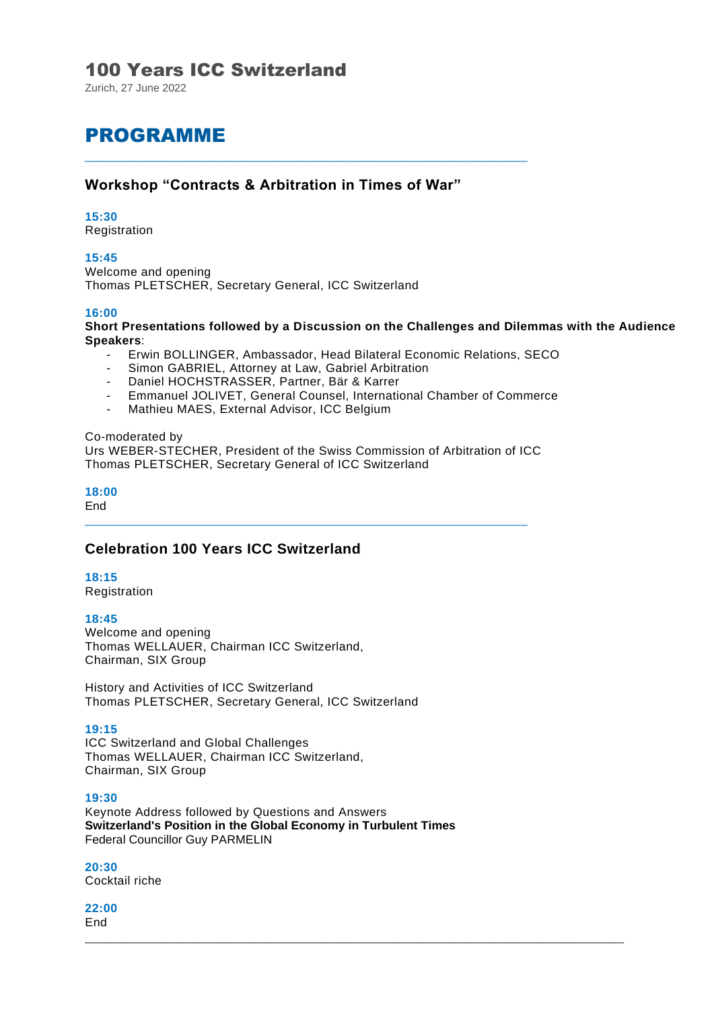### 100 Years ICC Switzerland

Zurich, 27 June 2022

# PROGRAMME

### **Workshop "Contracts & Arbitration in Times of War"**

\_\_\_\_\_\_\_\_\_\_\_\_\_\_\_\_\_\_\_\_\_\_\_\_\_\_\_\_\_\_\_\_\_\_\_\_\_\_\_\_\_\_\_\_\_\_\_\_\_\_\_\_\_\_\_\_\_\_\_\_\_\_\_

#### **15:30**

Registration

#### **15:45**

Welcome and opening Thomas PLETSCHER, Secretary General, ICC Switzerland

#### **16:00**

**Short Presentations followed by a Discussion on the Challenges and Dilemmas with the Audience Speakers**:

- Erwin BOLLINGER, Ambassador, Head Bilateral Economic Relations, SECO
- Simon GABRIEL, Attorney at Law, Gabriel Arbitration
- Daniel HOCHSTRASSER, Partner, Bär & Karrer
- Emmanuel JOLIVET, General Counsel, International Chamber of Commerce
- Mathieu MAES, External Advisor, ICC Belgium

#### Co-moderated by Urs WEBER-STECHER, President of the Swiss Commission of Arbitration of ICC Thomas PLETSCHER, Secretary General of ICC Switzerland

\_\_\_\_\_\_\_\_\_\_\_\_\_\_\_\_\_\_\_\_\_\_\_\_\_\_\_\_\_\_\_\_\_\_\_\_\_\_\_\_\_\_\_\_\_\_\_\_\_\_\_\_\_\_\_\_\_\_\_\_\_\_\_

**18:00**

End

### **Celebration 100 Years ICC Switzerland**

#### **18:15**

Registration

#### **18:45**

Welcome and opening Thomas WELLAUER, Chairman ICC Switzerland, Chairman, SIX Group

History and Activities of ICC Switzerland Thomas PLETSCHER, Secretary General, ICC Switzerland

#### **19:15**

ICC Switzerland and Global Challenges Thomas WELLAUER, Chairman ICC Switzerland, Chairman, SIX Group

#### **19:30**

Keynote Address followed by Questions and Answers **Switzerland's Position in the Global Economy in Turbulent Times**  Federal Councillor Guy PARMELIN

 $\overline{\phantom{a}}$  ,  $\overline{\phantom{a}}$  ,  $\overline{\phantom{a}}$  ,  $\overline{\phantom{a}}$  ,  $\overline{\phantom{a}}$  ,  $\overline{\phantom{a}}$  ,  $\overline{\phantom{a}}$  ,  $\overline{\phantom{a}}$  ,  $\overline{\phantom{a}}$  ,  $\overline{\phantom{a}}$  ,  $\overline{\phantom{a}}$  ,  $\overline{\phantom{a}}$  ,  $\overline{\phantom{a}}$  ,  $\overline{\phantom{a}}$  ,  $\overline{\phantom{a}}$  ,  $\overline{\phantom{a}}$ 

**20:30** Cocktail riche

**22:00**  End